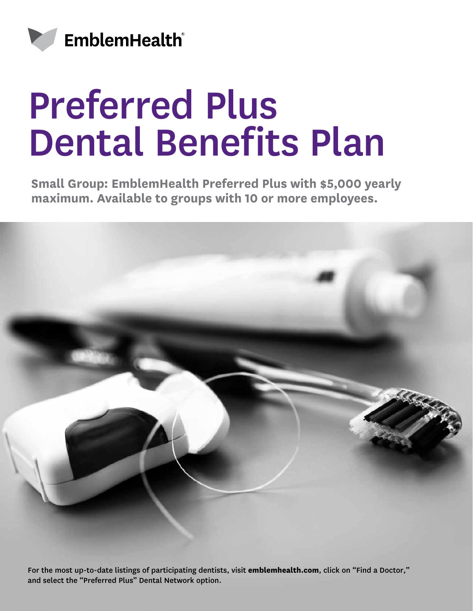

## Preferred Plus Dental Benefits Plan

**Small Group: EmblemHealth Preferred Plus with \$5,000 yearly maximum. Available to groups with 10 or more employees.**



For the most up-to-date listings of participating dentists, visit **emblemhealth.com**, click on "Find a Doctor," and select the "Preferred Plus" Dental Network option.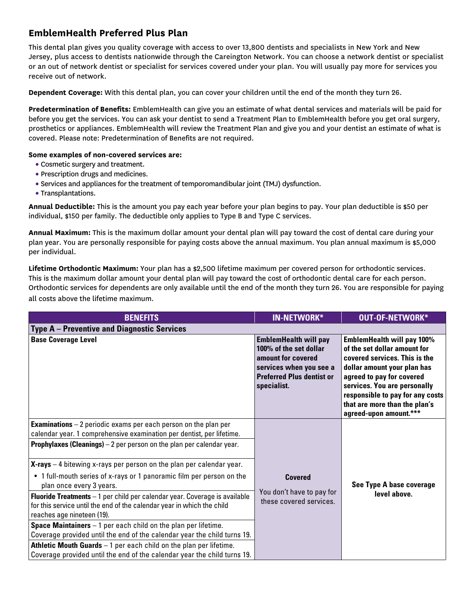## **EmblemHealth Preferred Plus Plan**

This dental plan gives you quality coverage with access to over 13,800 dentists and specialists in New York and New Jersey, plus access to dentists nationwide through the Careington Network. You can choose a network dentist or specialist or an out of network dentist or specialist for services covered under your plan. You will usually pay more for services you receive out of network.

**Dependent Coverage:** With this dental plan, you can cover your children until the end of the month they turn 26.

**Predetermination of Benefits:** EmblemHealth can give you an estimate of what dental services and materials will be paid for before you get the services. You can ask your dentist to send a Treatment Plan to EmblemHealth before you get oral surgery, prosthetics or appliances. EmblemHealth will review the Treatment Plan and give you and your dentist an estimate of what is covered. Please note: Predetermination of Benefits are not required.

## **Some examples of non-covered services are:**

- Cosmetic surgery and treatment.
- Prescription drugs and medicines.
- Services and appliances for the treatment of temporomandibular joint (TMJ) dysfunction.
- Transplantations.

**Annual Deductible:** This is the amount you pay each year before your plan begins to pay. Your plan deductible is \$50 per individual, \$150 per family. The deductible only applies to Type B and Type C services.

**Annual Maximum:** This is the maximum dollar amount your dental plan will pay toward the cost of dental care during your plan year. You are personally responsible for paying costs above the annual maximum. You plan annual maximum is \$5,000 per individual.

**Lifetime Orthodontic Maximum:** Your plan has a \$2,500 lifetime maximum per covered person for orthodontic services. This is the maximum dollar amount your dental plan will pay toward the cost of orthodontic dental care for each person. Orthodontic services for dependents are only available until the end of the month they turn 26. You are responsible for paying all costs above the lifetime maximum.**\***

| <b>BENEFITS</b>                                                                                                                                                                                                                                                                                                                                                                                                                                                                                                                                                                                                                                                                                                                                                                                                                                                                                                                  | <b>IN-NETWORK*</b>                                                                                                                                         | <b>OUT-OF-NETWORK*</b>                                                                                                                                                                                                                                                                        |
|----------------------------------------------------------------------------------------------------------------------------------------------------------------------------------------------------------------------------------------------------------------------------------------------------------------------------------------------------------------------------------------------------------------------------------------------------------------------------------------------------------------------------------------------------------------------------------------------------------------------------------------------------------------------------------------------------------------------------------------------------------------------------------------------------------------------------------------------------------------------------------------------------------------------------------|------------------------------------------------------------------------------------------------------------------------------------------------------------|-----------------------------------------------------------------------------------------------------------------------------------------------------------------------------------------------------------------------------------------------------------------------------------------------|
| <b>Type A</b> – Preventive and Diagnostic Services                                                                                                                                                                                                                                                                                                                                                                                                                                                                                                                                                                                                                                                                                                                                                                                                                                                                               |                                                                                                                                                            |                                                                                                                                                                                                                                                                                               |
| <b>Base Coverage Level</b>                                                                                                                                                                                                                                                                                                                                                                                                                                                                                                                                                                                                                                                                                                                                                                                                                                                                                                       | <b>EmblemHealth will pay</b><br>100% of the set dollar<br>amount for covered<br>services when you see a<br><b>Preferred Plus dentist or</b><br>specialist. | <b>EmblemHealth will pay 100%</b><br>of the set dollar amount for<br>covered services. This is the<br>dollar amount your plan has<br>agreed to pay for covered<br>services. You are personally<br>responsible to pay for any costs<br>that are more than the plan's<br>agreed-upon amount.*** |
| <b>Examinations</b> $-2$ periodic exams per each person on the plan per<br>calendar year. 1 comprehensive examination per dentist, per lifetime.<br><b>Prophylaxes (Cleanings)</b> $-2$ per person on the plan per calendar year.<br>$X$ -rays $-4$ bitewing x-rays per person on the plan per calendar year.<br>• 1 full-mouth series of x-rays or 1 panoramic film per person on the<br>plan once every 3 years.<br><b>Fluoride Treatments</b> $-1$ per child per calendar year. Coverage is available<br>for this service until the end of the calendar year in which the child<br>reaches age nineteen (19).<br><b>Space Maintainers</b> $-1$ per each child on the plan per lifetime.<br>Coverage provided until the end of the calendar year the child turns 19.<br><b>Athletic Mouth Guards</b> $-1$ per each child on the plan per lifetime.<br>Coverage provided until the end of the calendar year the child turns 19. | <b>Covered</b><br>You don't have to pay for<br>these covered services.                                                                                     | See Type A base coverage<br>level above.                                                                                                                                                                                                                                                      |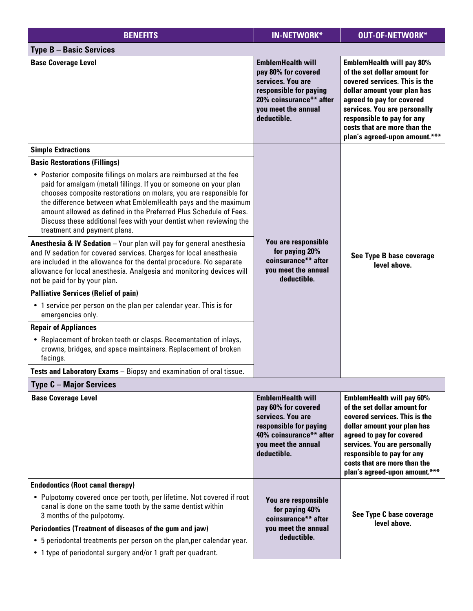| <b>BENEFITS</b>                                                                                                                                                                                                                                                                                                                                                                                                                                          | <b>IN-NETWORK*</b>                                                                                                                                              | OUT-OF-NETWORK*                                                                                                                                                                                                                                                                              |
|----------------------------------------------------------------------------------------------------------------------------------------------------------------------------------------------------------------------------------------------------------------------------------------------------------------------------------------------------------------------------------------------------------------------------------------------------------|-----------------------------------------------------------------------------------------------------------------------------------------------------------------|----------------------------------------------------------------------------------------------------------------------------------------------------------------------------------------------------------------------------------------------------------------------------------------------|
| <b>Type B - Basic Services</b>                                                                                                                                                                                                                                                                                                                                                                                                                           |                                                                                                                                                                 |                                                                                                                                                                                                                                                                                              |
| <b>Base Coverage Level</b>                                                                                                                                                                                                                                                                                                                                                                                                                               | <b>EmblemHealth will</b><br>pay 80% for covered<br>services. You are<br>responsible for paying<br>20% coinsurance** after<br>you meet the annual<br>deductible. | <b>EmblemHealth will pay 80%</b><br>of the set dollar amount for<br>covered services. This is the<br>dollar amount your plan has<br>agreed to pay for covered<br>services. You are personally<br>responsible to pay for any<br>costs that are more than the<br>plan's agreed-upon amount.*** |
| <b>Simple Extractions</b>                                                                                                                                                                                                                                                                                                                                                                                                                                |                                                                                                                                                                 |                                                                                                                                                                                                                                                                                              |
| <b>Basic Restorations (Fillings)</b>                                                                                                                                                                                                                                                                                                                                                                                                                     | You are responsible<br>for paying 20%<br>coinsurance** after<br>you meet the annual<br>deductible.                                                              | See Type B base coverage<br>level above.                                                                                                                                                                                                                                                     |
| • Posterior composite fillings on molars are reimbursed at the fee<br>paid for amalgam (metal) fillings. If you or someone on your plan<br>chooses composite restorations on molars, you are responsible for<br>the difference between what EmblemHealth pays and the maximum<br>amount allowed as defined in the Preferred Plus Schedule of Fees.<br>Discuss these additional fees with your dentist when reviewing the<br>treatment and payment plans. |                                                                                                                                                                 |                                                                                                                                                                                                                                                                                              |
| <b>Anesthesia &amp; IV Sedation</b> - Your plan will pay for general anesthesia<br>and IV sedation for covered services. Charges for local anesthesia<br>are included in the allowance for the dental procedure. No separate<br>allowance for local anesthesia. Analgesia and monitoring devices will<br>not be paid for by your plan.                                                                                                                   |                                                                                                                                                                 |                                                                                                                                                                                                                                                                                              |
| <b>Palliative Services (Relief of pain)</b>                                                                                                                                                                                                                                                                                                                                                                                                              |                                                                                                                                                                 |                                                                                                                                                                                                                                                                                              |
| • 1 service per person on the plan per calendar year. This is for<br>emergencies only.                                                                                                                                                                                                                                                                                                                                                                   |                                                                                                                                                                 |                                                                                                                                                                                                                                                                                              |
| <b>Repair of Appliances</b>                                                                                                                                                                                                                                                                                                                                                                                                                              |                                                                                                                                                                 |                                                                                                                                                                                                                                                                                              |
| • Replacement of broken teeth or clasps. Recementation of inlays,<br>crowns, bridges, and space maintainers. Replacement of broken<br>facings.                                                                                                                                                                                                                                                                                                           |                                                                                                                                                                 |                                                                                                                                                                                                                                                                                              |
| Tests and Laboratory Exams - Biopsy and examination of oral tissue                                                                                                                                                                                                                                                                                                                                                                                       |                                                                                                                                                                 |                                                                                                                                                                                                                                                                                              |
| <b>Type C - Major Services</b>                                                                                                                                                                                                                                                                                                                                                                                                                           |                                                                                                                                                                 |                                                                                                                                                                                                                                                                                              |
| <b>Base Coverage Level</b>                                                                                                                                                                                                                                                                                                                                                                                                                               | <b>EmblemHealth will</b><br>pay 60% for covered<br>services. You are<br>responsible for paying<br>40% coinsurance** after<br>you meet the annual<br>deductible. | <b>EmblemHealth will pay 60%</b><br>of the set dollar amount for<br>covered services. This is the<br>dollar amount your plan has<br>agreed to pay for covered<br>services. You are personally<br>responsible to pay for any<br>costs that are more than the<br>plan's agreed-upon amount.*** |
| <b>Endodontics (Root canal therapy)</b>                                                                                                                                                                                                                                                                                                                                                                                                                  |                                                                                                                                                                 |                                                                                                                                                                                                                                                                                              |
| • Pulpotomy covered once per tooth, per lifetime. Not covered if root<br>canal is done on the same tooth by the same dentist within<br>3 months of the pulpotomy.                                                                                                                                                                                                                                                                                        | You are responsible<br>for paying 40%<br>coinsurance** after<br>you meet the annual                                                                             | See Type C base coverage<br>level above.                                                                                                                                                                                                                                                     |
| Periodontics (Treatment of diseases of the gum and jaw)                                                                                                                                                                                                                                                                                                                                                                                                  |                                                                                                                                                                 |                                                                                                                                                                                                                                                                                              |
| • 5 periodontal treatments per person on the plan, per calendar year.                                                                                                                                                                                                                                                                                                                                                                                    | deductible.                                                                                                                                                     |                                                                                                                                                                                                                                                                                              |
| • 1 type of periodontal surgery and/or 1 graft per quadrant.                                                                                                                                                                                                                                                                                                                                                                                             |                                                                                                                                                                 |                                                                                                                                                                                                                                                                                              |